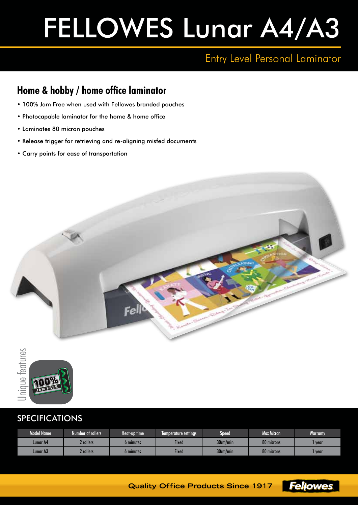# FELLOWES Lunar A4/A3

## Entry Level Personal Laminator

### **Home & hobby / home office laminator**

- 100% Jam Free when used with Fellowes branded pouches
- Photocapable laminator for the home & home office
- Laminates 80 micron pouches
- Release trigger for retrieving and re-aligning misfed documents
- Carry points for ease of transportation





#### SPECIFICATIONS

| Model Name      | Number of rollers' | Heat-up time | Temperature settings | Speed    | Max Micron | <b>Warranty</b> |
|-----------------|--------------------|--------------|----------------------|----------|------------|-----------------|
| <b>Lunar A4</b> | ? rollers          | 6 minutes    | <b>Fixed</b>         | 30cm/min | 80 microns | year            |
| Lunar A3        | <b>?</b> rollers   | 6 minutes    | <b>Fixed</b>         | 30cm/min | 80 microns | year            |



**Quality Office Products Since 1917**